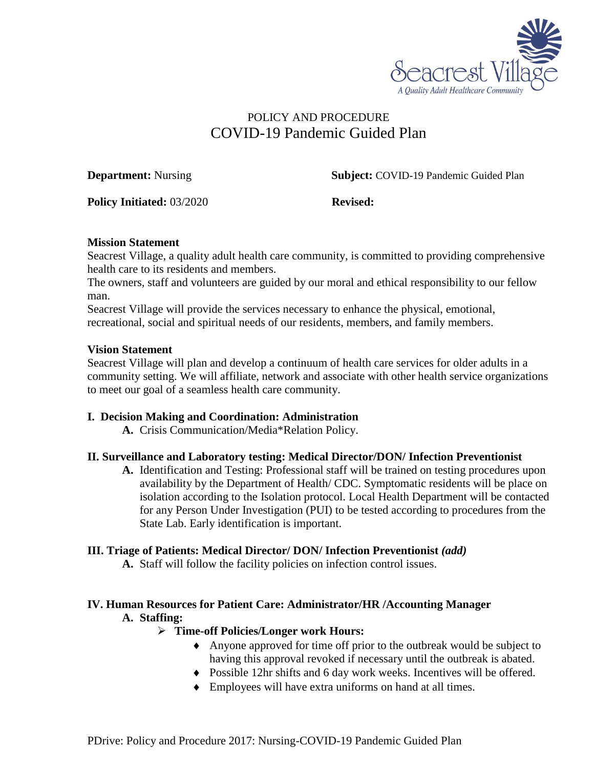

# POLICY AND PROCEDURE COVID-19 Pandemic Guided Plan

**Department:** Nursing **Subject:** COVID-19 Pandemic Guided Plan

**Policy Initiated:** 03/2020 **Revised:** 

## **Mission Statement**

Seacrest Village, a quality adult health care community, is committed to providing comprehensive health care to its residents and members.

The owners, staff and volunteers are guided by our moral and ethical responsibility to our fellow man.

Seacrest Village will provide the services necessary to enhance the physical, emotional, recreational, social and spiritual needs of our residents, members, and family members.

## **Vision Statement**

Seacrest Village will plan and develop a continuum of health care services for older adults in a community setting. We will affiliate, network and associate with other health service organizations to meet our goal of a seamless health care community.

## **I. Decision Making and Coordination: Administration**

**A.** Crisis Communication/Media\*Relation Policy.

## **II. Surveillance and Laboratory testing: Medical Director/DON/ Infection Preventionist**

**A.** Identification and Testing: Professional staff will be trained on testing procedures upon availability by the Department of Health/ CDC. Symptomatic residents will be place on isolation according to the Isolation protocol. Local Health Department will be contacted for any Person Under Investigation (PUI) to be tested according to procedures from the State Lab. Early identification is important.

## **III. Triage of Patients: Medical Director/ DON/ Infection Preventionist** *(add)*

**A.** Staff will follow the facility policies on infection control issues.

## **IV. Human Resources for Patient Care: Administrator/HR /Accounting Manager A. Staffing:**

## **Time-off Policies/Longer work Hours:**

- Anyone approved for time off prior to the outbreak would be subject to having this approval revoked if necessary until the outbreak is abated.
- Possible 12hr shifts and 6 day work weeks. Incentives will be offered.
- Employees will have extra uniforms on hand at all times.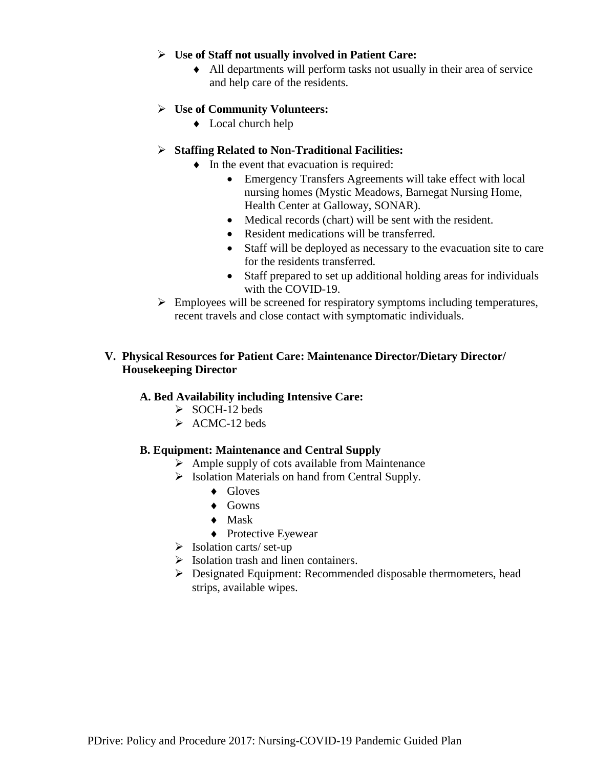#### **Use of Staff not usually involved in Patient Care:**

 All departments will perform tasks not usually in their area of service and help care of the residents.

## **Use of Community Volunteers:**

 $\triangleleft$  Local church help

## **Staffing Related to Non-Traditional Facilities:**

- $\bullet$  In the event that evacuation is required:
	- Emergency Transfers Agreements will take effect with local nursing homes (Mystic Meadows, Barnegat Nursing Home, Health Center at Galloway, SONAR).
	- Medical records (chart) will be sent with the resident.
	- Resident medications will be transferred.
	- Staff will be deployed as necessary to the evacuation site to care for the residents transferred.
	- Staff prepared to set up additional holding areas for individuals with the COVID-19.
- $\triangleright$  Employees will be screened for respiratory symptoms including temperatures, recent travels and close contact with symptomatic individuals.

## **V. Physical Resources for Patient Care: Maintenance Director/Dietary Director/ Housekeeping Director**

## **A. Bed Availability including Intensive Care:**

- $\geq$  SOCH-12 beds
- $\triangleright$  ACMC-12 beds

#### **B. Equipment: Maintenance and Central Supply**

- $\triangleright$  Ample supply of cots available from Maintenance
- $\triangleright$  Isolation Materials on hand from Central Supply.
	- ◆ Gloves
	- $\triangle$  Gowns
	- $\bullet$  Mask
	- ◆ Protective Eyewear
- $\triangleright$  Isolation carts/ set-up
- $\triangleright$  Isolation trash and linen containers.
- Designated Equipment: Recommended disposable thermometers, head strips, available wipes.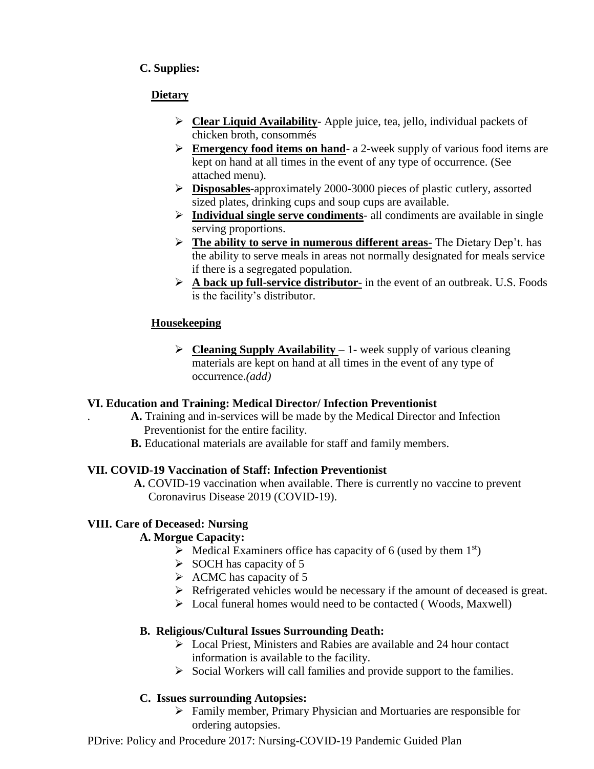# **C. Supplies:**

# **Dietary**

- **Clear Liquid Availability** Apple juice, tea, jello, individual packets of chicken broth, consommés
- **Emergency food items on hand** a 2-week supply of various food items are kept on hand at all times in the event of any type of occurrence. (See attached menu).
- **Disposables**-approximately 2000-3000 pieces of plastic cutlery, assorted sized plates, drinking cups and soup cups are available.
- **Individual single serve condiments** all condiments are available in single serving proportions.
- **The ability to serve in numerous different areas** The Dietary Dep't. has the ability to serve meals in areas not normally designated for meals service if there is a segregated population.
- **A back up full-service distributor** in the event of an outbreak. U.S. Foods is the facility's distributor.

# **Housekeeping**

 **Cleaning Supply Availability** – 1- week supply of various cleaning materials are kept on hand at all times in the event of any type of occurrence.*(add)*

# **VI. Education and Training: Medical Director/ Infection Preventionist**

- . **A.** Training and in-services will be made by the Medical Director and Infection Preventionist for the entire facility.
- **B.** Educational materials are available for staff and family members.

# **VII. COVID-19 Vaccination of Staff: Infection Preventionist**

 **A.** COVID-19 vaccination when available. There is currently no vaccine to prevent Coronavirus Disease 2019 (COVID-19).

# **VIII. Care of Deceased: Nursing**

# **A. Morgue Capacity:**

- $\triangleright$  Medical Examiners office has capacity of 6 (used by them 1<sup>st</sup>)
- $\triangleright$  SOCH has capacity of 5
- $\triangleright$  ACMC has capacity of 5
- $\triangleright$  Refrigerated vehicles would be necessary if the amount of deceased is great.
- Local funeral homes would need to be contacted ( Woods, Maxwell)

# **B. Religious/Cultural Issues Surrounding Death:**

- $\triangleright$  Local Priest, Ministers and Rabies are available and 24 hour contact information is available to the facility.
- $\triangleright$  Social Workers will call families and provide support to the families.

# **C. Issues surrounding Autopsies:**

 Family member, Primary Physician and Mortuaries are responsible for ordering autopsies.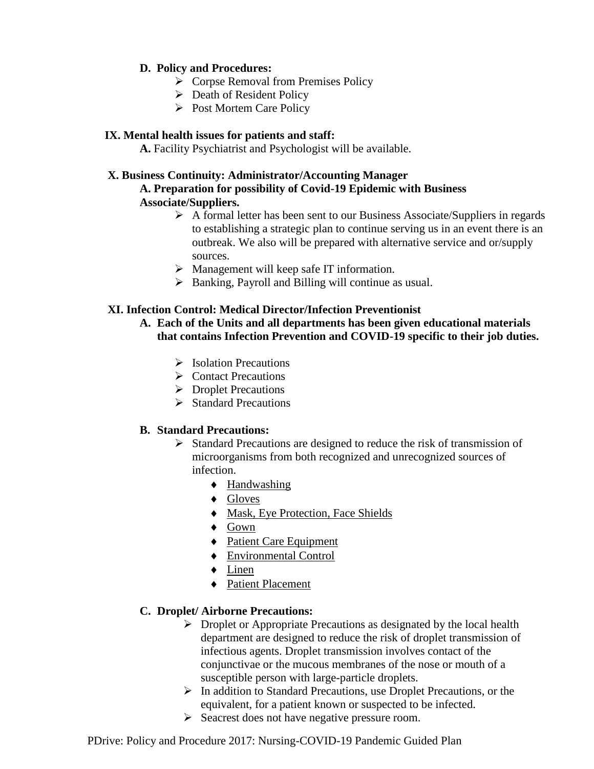## **D. Policy and Procedures:**

- $\triangleright$  Corpse Removal from Premises Policy
- $\triangleright$  Death of Resident Policy
- $\triangleright$  Post Mortem Care Policy

## **IX. Mental health issues for patients and staff:**

**A.** Facility Psychiatrist and Psychologist will be available.

## **X. Business Continuity: Administrator/Accounting Manager A. Preparation for possibility of Covid-19 Epidemic with Business Associate/Suppliers.**

- $\triangleright$  A formal letter has been sent to our Business Associate/Suppliers in regards to establishing a strategic plan to continue serving us in an event there is an outbreak. We also will be prepared with alternative service and or/supply sources.
- $\triangleright$  Management will keep safe IT information.
- Banking, Payroll and Billing will continue as usual.

## **XI. Infection Control: Medical Director/Infection Preventionist**

**A. Each of the Units and all departments has been given educational materials that contains Infection Prevention and COVID-19 specific to their job duties.**

- $\triangleright$  Isolation Precautions
- $\triangleright$  Contact Precautions
- **Droplet Precautions**
- $\triangleright$  Standard Precautions

## **B. Standard Precautions:**

- $\triangleright$  Standard Precautions are designed to reduce the risk of transmission of microorganisms from both recognized and unrecognized sources of infection.
	- ◆ Handwashing
	- ◆ Gloves
	- $\triangleleft$  Mask, Eye Protection, Face Shields
	- ◆ Gown
	- ◆ Patient Care Equipment
	- Environmental Control
	- Linen
	- ◆ Patient Placement

## **C. Droplet/ Airborne Precautions:**

- $\triangleright$  Droplet or Appropriate Precautions as designated by the local health department are designed to reduce the risk of droplet transmission of infectious agents. Droplet transmission involves contact of the conjunctivae or the mucous membranes of the nose or mouth of a susceptible person with large-particle droplets.
- $\triangleright$  In addition to Standard Precautions, use Droplet Precautions, or the equivalent, for a patient known or suspected to be infected.
- $\triangleright$  Seacrest does not have negative pressure room.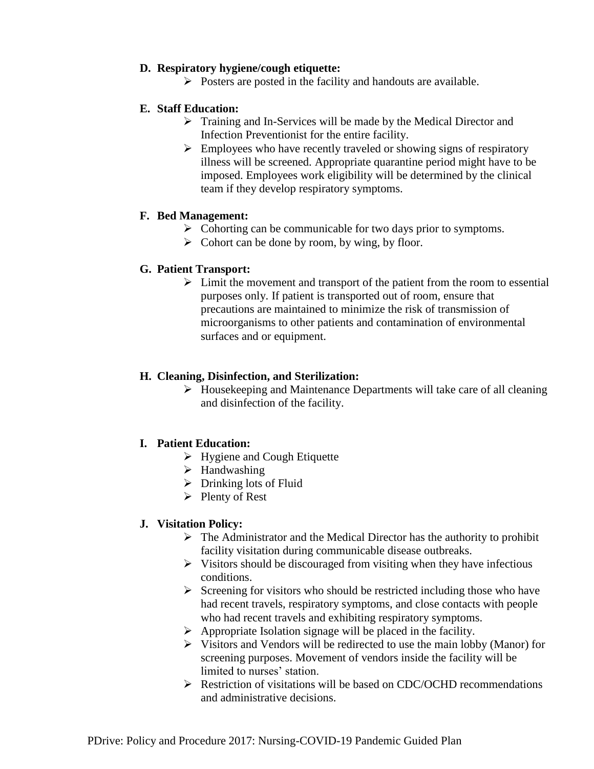## **D. Respiratory hygiene/cough etiquette:**

 $\triangleright$  Posters are posted in the facility and handouts are available.

## **E. Staff Education:**

- > Training and In-Services will be made by the Medical Director and Infection Preventionist for the entire facility.
- $\triangleright$  Employees who have recently traveled or showing signs of respiratory illness will be screened. Appropriate quarantine period might have to be imposed. Employees work eligibility will be determined by the clinical team if they develop respiratory symptoms.

## **F. Bed Management:**

- $\triangleright$  Cohorting can be communicable for two days prior to symptoms.
- $\triangleright$  Cohort can be done by room, by wing, by floor.

## **G. Patient Transport:**

 $\triangleright$  Limit the movement and transport of the patient from the room to essential purposes only. If patient is transported out of room, ensure that precautions are maintained to minimize the risk of transmission of microorganisms to other patients and contamination of environmental surfaces and or equipment.

## **H. Cleaning, Disinfection, and Sterilization:**

 $\triangleright$  Housekeeping and Maintenance Departments will take care of all cleaning and disinfection of the facility.

## **I. Patient Education:**

- ▶ Hygiene and Cough Etiquette
- $\blacktriangleright$  Handwashing
- $\triangleright$  Drinking lots of Fluid
- $\triangleright$  Plenty of Rest

## **J. Visitation Policy:**

- $\triangleright$  The Administrator and the Medical Director has the authority to prohibit facility visitation during communicable disease outbreaks.
- $\triangleright$  Visitors should be discouraged from visiting when they have infectious conditions.
- $\triangleright$  Screening for visitors who should be restricted including those who have had recent travels, respiratory symptoms, and close contacts with people who had recent travels and exhibiting respiratory symptoms.
- $\triangleright$  Appropriate Isolation signage will be placed in the facility.
- $\triangleright$  Visitors and Vendors will be redirected to use the main lobby (Manor) for screening purposes. Movement of vendors inside the facility will be limited to nurses' station.
- Restriction of visitations will be based on CDC/OCHD recommendations and administrative decisions.